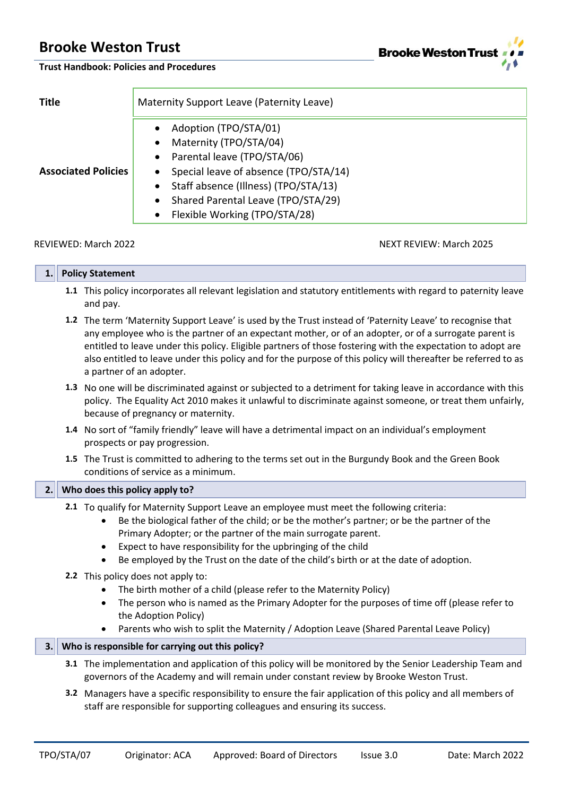**Brooke Weston Tru** 

**Trust Handbook: Policies and Procedures**

| <b>Title</b>               | Maternity Support Leave (Paternity Leave)                                                                                                                                                                                                                                                                 |  |  |  |
|----------------------------|-----------------------------------------------------------------------------------------------------------------------------------------------------------------------------------------------------------------------------------------------------------------------------------------------------------|--|--|--|
| <b>Associated Policies</b> | Adoption (TPO/STA/01)<br>٠<br>Maternity (TPO/STA/04)<br>٠<br>Parental leave (TPO/STA/06)<br>$\bullet$<br>Special leave of absence (TPO/STA/14)<br>$\bullet$<br>Staff absence (Illness) (TPO/STA/13)<br>٠<br>Shared Parental Leave (TPO/STA/29)<br>$\bullet$<br>Flexible Working (TPO/STA/28)<br>$\bullet$ |  |  |  |

#### REVIEWED: March 2022 NEXT REVIEW: March 2025

| -- | <b>Policy Statement</b> |  |  |  |  |
|----|-------------------------|--|--|--|--|
|    |                         |  |  |  |  |

- **1.1** This policy incorporates all relevant legislation and statutory entitlements with regard to paternity leave and pay.
- **1.2** The term 'Maternity Support Leave' is used by the Trust instead of 'Paternity Leave' to recognise that any employee who is the partner of an expectant mother, or of an adopter, or of a surrogate parent is entitled to leave under this policy. Eligible partners of those fostering with the expectation to adopt are also entitled to leave under this policy and for the purpose of this policy will thereafter be referred to as a partner of an adopter.
- **1.3** No one will be discriminated against or subjected to a detriment for taking leave in accordance with this policy. The Equality Act 2010 makes it unlawful to discriminate against someone, or treat them unfairly, because of pregnancy or maternity.
- **1.4** No sort of "family friendly" leave will have a detrimental impact on an individual's employment prospects or pay progression.
- **1.5** The Trust is committed to adhering to the terms set out in the Burgundy Book and the Green Book conditions of service as a minimum.

### **2. Who does this policy apply to?**

- **2.1** To qualify for Maternity Support Leave an employee must meet the following criteria:
	- Be the biological father of the child; or be the mother's partner; or be the partner of the Primary Adopter; or the partner of the main surrogate parent.
	- Expect to have responsibility for the upbringing of the child
	- Be employed by the Trust on the date of the child's birth or at the date of adoption.
- **2.2** This policy does not apply to:
	- The birth mother of a child (please refer to the Maternity Policy)
	- The person who is named as the Primary Adopter for the purposes of time off (please refer to the Adoption Policy)
	- Parents who wish to split the Maternity / Adoption Leave (Shared Parental Leave Policy)

### **3. Who is responsible for carrying out this policy?**

- **3.1** The implementation and application of this policy will be monitored by the Senior Leadership Team and governors of the Academy and will remain under constant review by Brooke Weston Trust.
- **3.2** Managers have a specific responsibility to ensure the fair application of this policy and all members of staff are responsible for supporting colleagues and ensuring its success.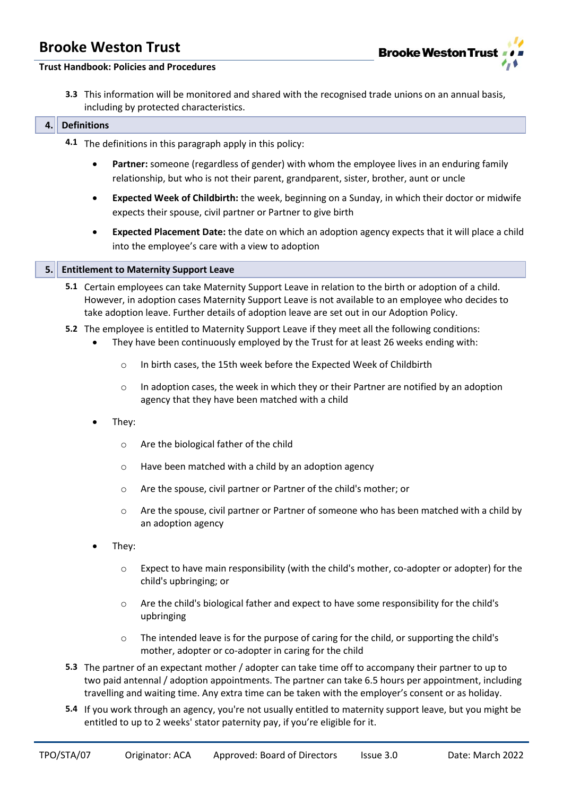

#### **Trust Handbook: Policies and Procedures**

**3.3** This information will be monitored and shared with the recognised trade unions on an annual basis, including by protected characteristics.

#### **4. Definitions**

- **4.1** The definitions in this paragraph apply in this policy:
	- **Partner:** someone (regardless of gender) with whom the employee lives in an enduring family relationship, but who is not their parent, grandparent, sister, brother, aunt or uncle
	- **Expected Week of Childbirth:** the week, beginning on a Sunday, in which their doctor or midwife expects their spouse, civil partner or Partner to give birth
	- **Expected Placement Date:** the date on which an adoption agency expects that it will place a child into the employee's care with a view to adoption

#### **5. Entitlement to Maternity Support Leave**

- **5.1** Certain employees can take Maternity Support Leave in relation to the birth or adoption of a child. However, in adoption cases Maternity Support Leave is not available to an employee who decides to take adoption leave. Further details of adoption leave are set out in our Adoption Policy.
- **5.2** The employee is entitled to Maternity Support Leave if they meet all the following conditions:
	- They have been continuously employed by the Trust for at least 26 weeks ending with:
		- o In birth cases, the 15th week before the Expected Week of Childbirth
		- $\circ$  In adoption cases, the week in which they or their Partner are notified by an adoption agency that they have been matched with a child
	- They:
		- o Are the biological father of the child
		- o Have been matched with a child by an adoption agency
		- o Are the spouse, civil partner or Partner of the child's mother; or
		- $\circ$  Are the spouse, civil partner or Partner of someone who has been matched with a child by an adoption agency
	- They:
		- o Expect to have main responsibility (with the child's mother, co-adopter or adopter) for the child's upbringing; or
		- o Are the child's biological father and expect to have some responsibility for the child's upbringing
		- $\circ$  The intended leave is for the purpose of caring for the child, or supporting the child's mother, adopter or co-adopter in caring for the child
- **5.3** The partner of an expectant mother / adopter can take time off to accompany their partner to up to two paid antennal / adoption appointments. The partner can take 6.5 hours per appointment, including travelling and waiting time. Any extra time can be taken with the employer's consent or as holiday.
- **5.4** If you work through an agency, you're not usually entitled to maternity support leave, but you might be entitled to up to 2 weeks' stator paternity pay, if you're eligible for it.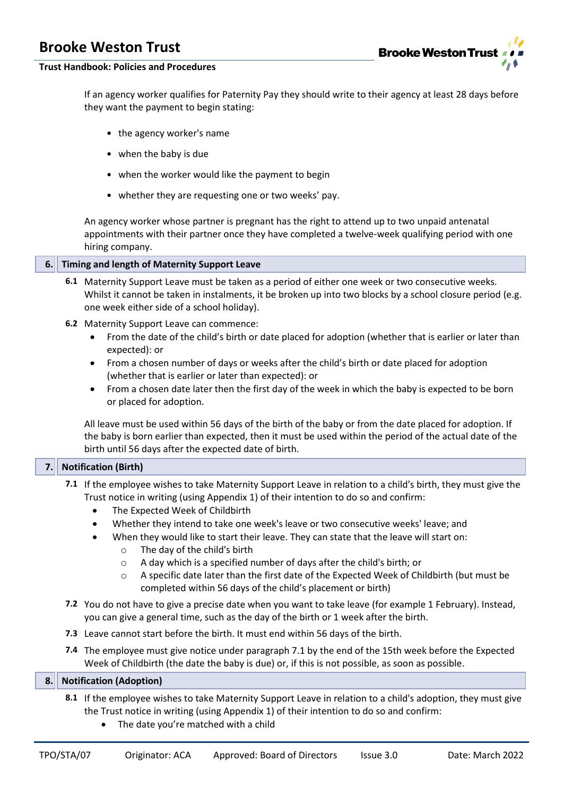

### **Trust Handbook: Policies and Procedures**

If an agency worker qualifies for Paternity Pay they should write to their agency at least 28 days before they want the payment to begin stating:

- the agency worker's name
- when the baby is due
- when the worker would like the payment to begin
- whether they are requesting one or two weeks' pay.

An agency worker whose partner is pregnant has the right to attend up to two unpaid antenatal appointments with their partner once they have completed a twelve-week qualifying period with one hiring company.

### **6. Timing and length of Maternity Support Leave**

- **6.1** Maternity Support Leave must be taken as a period of either one week or two consecutive weeks. Whilst it cannot be taken in instalments, it be broken up into two blocks by a school closure period (e.g. one week either side of a school holiday).
- **6.2** Maternity Support Leave can commence:
	- From the date of the child's birth or date placed for adoption (whether that is earlier or later than expected): or
	- From a chosen number of days or weeks after the child's birth or date placed for adoption (whether that is earlier or later than expected): or
	- From a chosen date later then the first day of the week in which the baby is expected to be born or placed for adoption.

All leave must be used within 56 days of the birth of the baby or from the date placed for adoption. If the baby is born earlier than expected, then it must be used within the period of the actual date of the birth until 56 days after the expected date of birth.

### **7. Notification (Birth)**

- **7.1** If the employee wishes to take Maternity Support Leave in relation to a child's birth, they must give the Trust notice in writing (using Appendix 1) of their intention to do so and confirm:
	- The Expected Week of Childbirth
	- Whether they intend to take one week's leave or two consecutive weeks' leave; and
	- When they would like to start their leave. They can state that the leave will start on:
		- o The day of the child's birth
		- o A day which is a specified number of days after the child's birth; or
		- $\circ$  A specific date later than the first date of the Expected Week of Childbirth (but must be completed within 56 days of the child's placement or birth)
- **7.2** You do not have to give a precise date when you want to take leave (for example 1 February). Instead, you can give a general time, such as the day of the birth or 1 week after the birth.
- **7.3** Leave cannot start before the birth. It must end within 56 days of the birth.
- **7.4** The employee must give notice under paragraph 7.1 by the end of the 15th week before the Expected Week of Childbirth (the date the baby is due) or, if this is not possible, as soon as possible.

### **8. Notification (Adoption)**

- **8.1** If the employee wishes to take Maternity Support Leave in relation to a child's adoption, they must give the Trust notice in writing (using Appendix 1) of their intention to do so and confirm:
	- The date you're matched with a child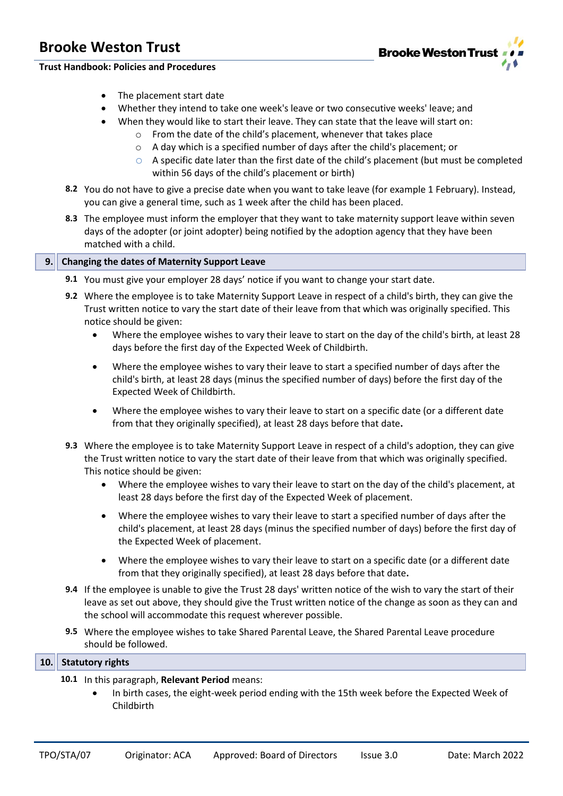

#### **Trust Handbook: Policies and Procedures**

- The placement start date
- Whether they intend to take one week's leave or two consecutive weeks' leave; and
- When they would like to start their leave. They can state that the leave will start on:
	- o From the date of the child's placement, whenever that takes place
	- o A day which is a specified number of days after the child's placement; or
	- o A specific date later than the first date of the child's placement (but must be completed within 56 days of the child's placement or birth)
- **8.2** You do not have to give a precise date when you want to take leave (for example 1 February). Instead, you can give a general time, such as 1 week after the child has been placed.
- **8.3** The employee must inform the employer that they want to take maternity support leave within seven days of the adopter (or joint adopter) being notified by the adoption agency that they have been matched with a child.

### **9. Changing the dates of Maternity Support Leave**

- **9.1** You must give your employer 28 days' notice if you want to change your start date.
- **9.2** Where the employee is to take Maternity Support Leave in respect of a child's birth, they can give the Trust written notice to vary the start date of their leave from that which was originally specified. This notice should be given:
	- Where the employee wishes to vary their leave to start on the day of the child's birth, at least 28 days before the first day of the Expected Week of Childbirth.
	- Where the employee wishes to vary their leave to start a specified number of days after the child's birth, at least 28 days (minus the specified number of days) before the first day of the Expected Week of Childbirth.
	- Where the employee wishes to vary their leave to start on a specific date (or a different date from that they originally specified), at least 28 days before that date**.**
- **9.3** Where the employee is to take Maternity Support Leave in respect of a child's adoption, they can give the Trust written notice to vary the start date of their leave from that which was originally specified. This notice should be given:
	- Where the employee wishes to vary their leave to start on the day of the child's placement, at least 28 days before the first day of the Expected Week of placement.
	- Where the employee wishes to vary their leave to start a specified number of days after the child's placement, at least 28 days (minus the specified number of days) before the first day of the Expected Week of placement.
	- Where the employee wishes to vary their leave to start on a specific date (or a different date from that they originally specified), at least 28 days before that date**.**
- **9.4** If the employee is unable to give the Trust 28 days' written notice of the wish to vary the start of their leave as set out above, they should give the Trust written notice of the change as soon as they can and the school will accommodate this request wherever possible.
- **9.5** Where the employee wishes to take Shared Parental Leave, the Shared Parental Leave procedure should be followed.

### **10. Statutory rights**

- **10.1** In this paragraph, **Relevant Period** means:
	- In birth cases, the eight-week period ending with the 15th week before the Expected Week of Childbirth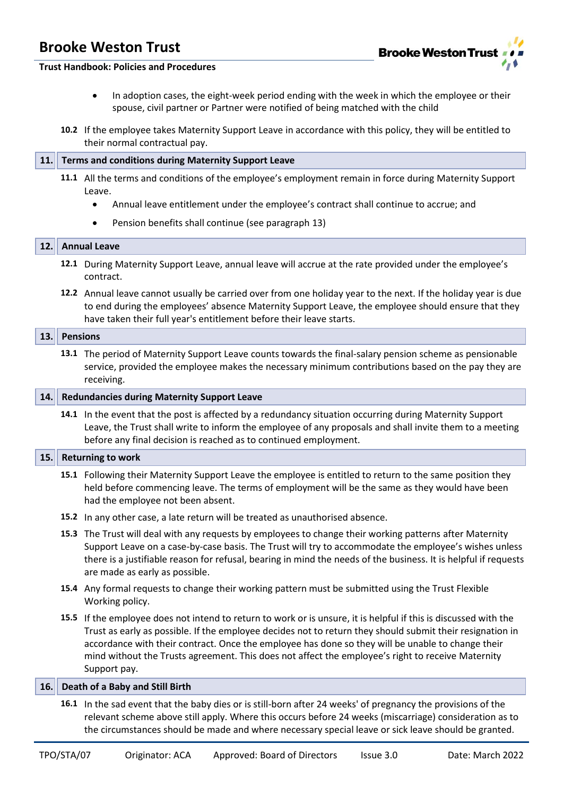

#### **Trust Handbook: Policies and Procedures**

- In adoption cases, the eight-week period ending with the week in which the employee or their spouse, civil partner or Partner were notified of being matched with the child
- **10.2** If the employee takes Maternity Support Leave in accordance with this policy, they will be entitled to their normal contractual pay.

#### **11. Terms and conditions during Maternity Support Leave**

- **11.1** All the terms and conditions of the employee's employment remain in force during Maternity Support Leave.
	- Annual leave entitlement under the employee's contract shall continue to accrue; and
	- Pension benefits shall continue (see paragraph 13)

#### **12. Annual Leave**

- **12.1** During Maternity Support Leave, annual leave will accrue at the rate provided under the employee's contract.
- **12.2** Annual leave cannot usually be carried over from one holiday year to the next. If the holiday year is due to end during the employees' absence Maternity Support Leave, the employee should ensure that they have taken their full year's entitlement before their leave starts.

### **13. Pensions**

**13.1** The period of Maternity Support Leave counts towards the final-salary pension scheme as pensionable service, provided the employee makes the necessary minimum contributions based on the pay they are receiving.

#### **14. Redundancies during Maternity Support Leave**

**14.1** In the event that the post is affected by a redundancy situation occurring during Maternity Support Leave, the Trust shall write to inform the employee of any proposals and shall invite them to a meeting before any final decision is reached as to continued employment.

#### **15. Returning to work**

- **15.1** Following their Maternity Support Leave the employee is entitled to return to the same position they held before commencing leave. The terms of employment will be the same as they would have been had the employee not been absent.
- **15.2** In any other case, a late return will be treated as unauthorised absence.
- **15.3** The Trust will deal with any requests by employees to change their working patterns after Maternity Support Leave on a case-by-case basis. The Trust will try to accommodate the employee's wishes unless there is a justifiable reason for refusal, bearing in mind the needs of the business. It is helpful if requests are made as early as possible.
- **15.4** Any formal requests to change their working pattern must be submitted using the Trust Flexible Working policy.
- **15.5** If the employee does not intend to return to work or is unsure, it is helpful if this is discussed with the Trust as early as possible. If the employee decides not to return they should submit their resignation in accordance with their contract. Once the employee has done so they will be unable to change their mind without the Trusts agreement. This does not affect the employee's right to receive Maternity Support pay.

#### **16. Death of a Baby and Still Birth**

**16.1** In the sad event that the baby dies or is still-born after 24 weeks' of pregnancy the provisions of the relevant scheme above still apply. Where this occurs before 24 weeks (miscarriage) consideration as to the circumstances should be made and where necessary special leave or sick leave should be granted.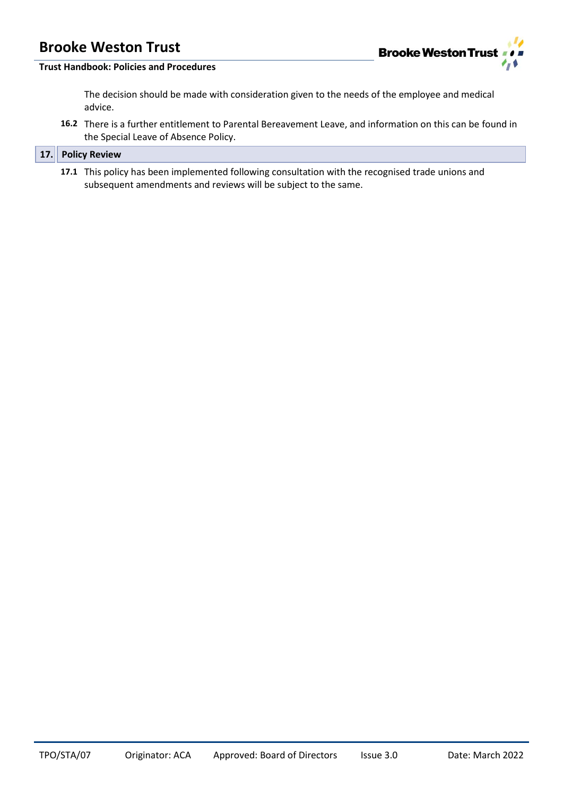

### **Trust Handbook: Policies and Procedures**

The decision should be made with consideration given to the needs of the employee and medical advice.

**16.2** There is a further entitlement to Parental Bereavement Leave, and information on this can be found in the Special Leave of Absence Policy.

### **17. Policy Review**

**17.1** This policy has been implemented following consultation with the recognised trade unions and subsequent amendments and reviews will be subject to the same.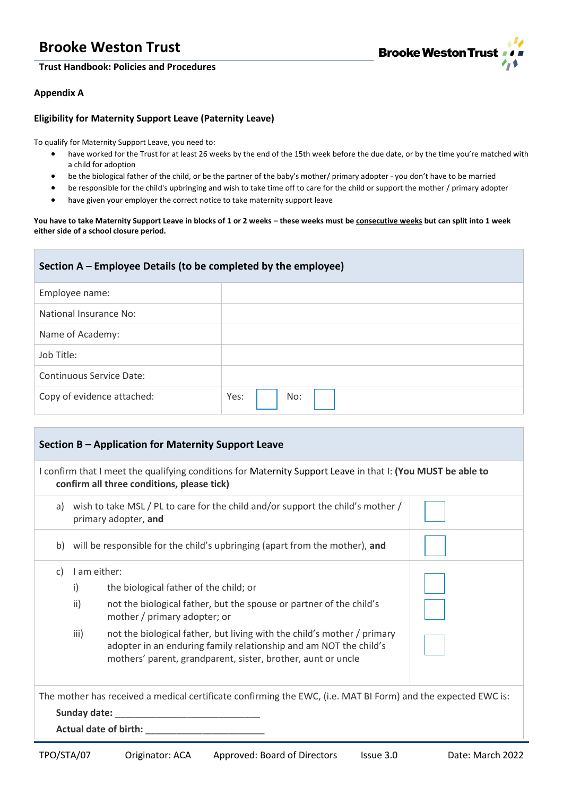### **Trust Handbook: Policies and Procedures**



#### **Appendix A**

### **Eligibility for Maternity Support Leave (Paternity Leave)**

To qualify for Maternity Support Leave, you need to:

- have worked for the Trust for at least 26 weeks by the end of the 15th week before the due date, or by the time you're matched with a child for adoption
- be the biological father of the child, or be the partner of the baby's mother/ primary adopter you don't have to be married
- be responsible for the child's upbringing and wish to take time off to care for the child or support the mother / primary adopter
- have given your employer the correct notice to take maternity support leave

**You have to take Maternity Support Leave in blocks of 1 or 2 weeks – these weeks must be consecutive weeks but can split into 1 week either side of a school closure period.** 

| Section A – Employee Details (to be completed by the employee) |             |
|----------------------------------------------------------------|-------------|
| Employee name:                                                 |             |
| National Insurance No:                                         |             |
| Name of Academy:                                               |             |
| Job Title:                                                     |             |
| Continuous Service Date:                                       |             |
| Copy of evidence attached:                                     | Yes:<br>No: |

| Section B – Application for Maternity Support Leave                                                                                                       |                                                                                                         |                                                                                                                                                                                                              |  |
|-----------------------------------------------------------------------------------------------------------------------------------------------------------|---------------------------------------------------------------------------------------------------------|--------------------------------------------------------------------------------------------------------------------------------------------------------------------------------------------------------------|--|
| I confirm that I meet the qualifying conditions for Maternity Support Leave in that I: (You MUST be able to<br>confirm all three conditions, please tick) |                                                                                                         |                                                                                                                                                                                                              |  |
| a)                                                                                                                                                        | wish to take MSL / PL to care for the child and/or support the child's mother /<br>primary adopter, and |                                                                                                                                                                                                              |  |
| b)                                                                                                                                                        | will be responsible for the child's upbringing (apart from the mother), and                             |                                                                                                                                                                                                              |  |
| C)                                                                                                                                                        | I am either:                                                                                            |                                                                                                                                                                                                              |  |
|                                                                                                                                                           | i)                                                                                                      | the biological father of the child; or                                                                                                                                                                       |  |
|                                                                                                                                                           | ii)                                                                                                     | not the biological father, but the spouse or partner of the child's<br>mother / primary adopter; or                                                                                                          |  |
|                                                                                                                                                           | iii)                                                                                                    | not the biological father, but living with the child's mother / primary<br>adopter in an enduring family relationship and am NOT the child's<br>mothers' parent, grandparent, sister, brother, aunt or uncle |  |
| The mother has received a medical certificate confirming the EWC, (i.e. MAT BI Form) and the expected EWC is:                                             |                                                                                                         |                                                                                                                                                                                                              |  |
| Sunday date:                                                                                                                                              |                                                                                                         |                                                                                                                                                                                                              |  |
| <b>Actual date of birth:</b>                                                                                                                              |                                                                                                         |                                                                                                                                                                                                              |  |